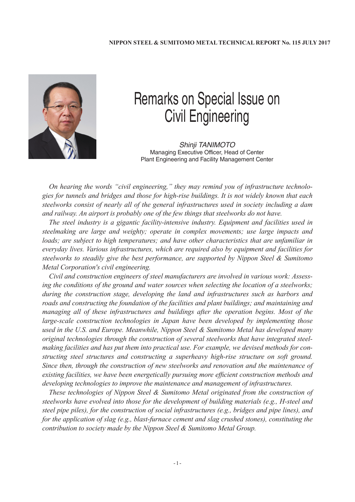

## Remarks on Special Issue on Civil Engineering

*Shinji TANIMOTO* Managing Executive Officer, Head of Center Plant Engineering and Facility Management Center

*On hearing the words "civil engineering," they may remind you of infrastructure technologies for tunnels and bridges and those for high-rise buildings. It is not widely known that each steelworks consist of nearly all of the general infrastructures used in society including a dam and railway. An airport is probably one of the few things that steelworks do not have.*

*The steel industry is a gigantic facility-intensive industry. Equipment and facilities used in steelmaking are large and weighty; operate in complex movements; use large impacts and loads; are subject to high temperatures; and have other characteristics that are unfamiliar in everyday lives. Various infrastructures, which are required also by equipment and facilities for steelworks to steadily give the best performance, are supported by Nippon Steel & Sumitomo Metal Corporation's civil engineering.*

*Civil and construction engineers of steel manufacturers are involved in various work: Assessing the conditions of the ground and water sources when selecting the location of a steelworks; during the construction stage, developing the land and infrastructures such as harbors and roads and constructing the foundation of the facilities and plant buildings; and maintaining and managing all of these infrastructures and buildings after the operation begins. Most of the large-scale construction technologies in Japan have been developed by implementing those used in the U.S. and Europe. Meanwhile, Nippon Steel & Sumitomo Metal has developed many original technologies through the construction of several steelworks that have integrated steelmaking facilities and has put them into practical use. For example, we devised methods for constructing steel structures and constructing a superheavy high-rise structure on soft ground. Since then, through the construction of new steelworks and renovation and the maintenance of existing facilities, we have been energetically pursuing more efficient construction methods and developing technologies to improve the maintenance and management of infrastructures.*

*These technologies of Nippon Steel & Sumitomo Metal originated from the construction of steelworks have evolved into those for the development of building materials (e.g., H-steel and steel pipe piles), for the construction of social infrastructures (e.g., bridges and pipe lines), and for the application of slag (e.g., blast-furnace cement and slag crushed stones), constituting the contribution to society made by the Nippon Steel & Sumitomo Metal Group.*